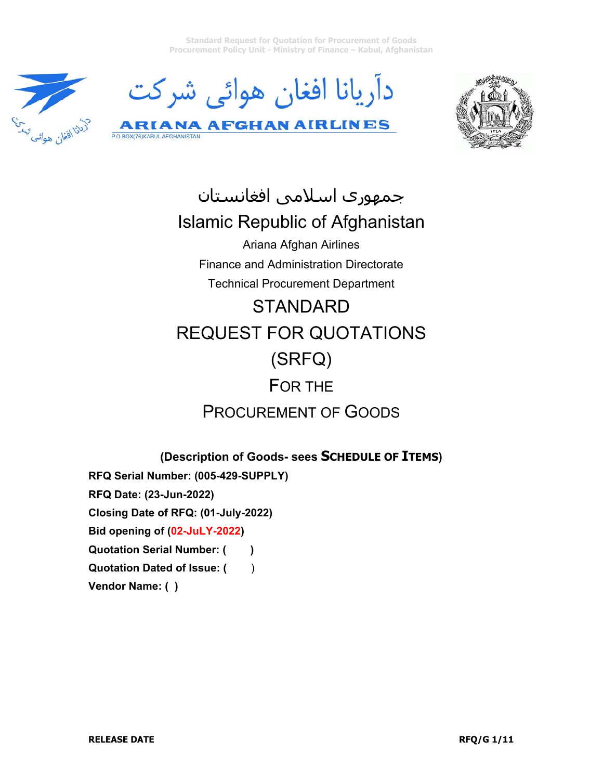**Standard Request for Quotation for Procurement of Goods Procurement Policy Unit - Ministry of Finance – Kabul, Afghanistan** 







جمهوری اسلامی افغانستان Islamic Republic of Afghanistan Ariana Afghan Airlines Finance and Administration Directorate Technical Procurement Department **STANDARD** REQUEST FOR QUOTATIONS (SRFQ) FOR THE

# PROCUREMENT OF GOODS

**(Description of Goods- sees SCHEDULE OF ITEMS)** 

**RFQ Serial Number: (005-429-SUPPLY)** 

**RFQ Date: (23-Jun-2022)** 

P.O.BOX(76)KABUL AFGHANISTAN

**Closing Date of RFQ: (01-July-2022)** 

**Bid opening of (02-JuLY-2022)** 

**Quotation Serial Number: ()** 

**Quotation Dated of Issue: ()** 

**Vendor Name: ( )**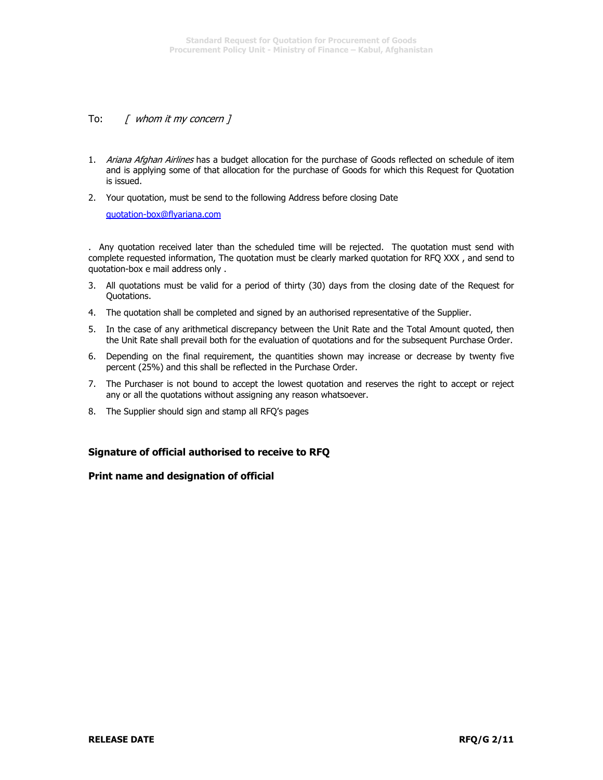### To: [ whom it my concern ]

1. Ariana Afghan Airlines has a budget allocation for the purchase of Goods reflected on schedule of item and is applying some of that allocation for the purchase of Goods for which this Request for Quotation is issued.

2. Your quotation, must be send to the following Address before closing Date

quotation-box@flyariana.com

. Any quotation received later than the scheduled time will be rejected. The quotation must send with complete requested information, The quotation must be clearly marked quotation for RFQ XXX , and send to quotation-box e mail address only .

- 3. All quotations must be valid for a period of thirty (30) days from the closing date of the Request for Quotations.
- 4. The quotation shall be completed and signed by an authorised representative of the Supplier.
- 5. In the case of any arithmetical discrepancy between the Unit Rate and the Total Amount quoted, then the Unit Rate shall prevail both for the evaluation of quotations and for the subsequent Purchase Order.
- 6. Depending on the final requirement, the quantities shown may increase or decrease by twenty five percent (25%) and this shall be reflected in the Purchase Order.
- 7. The Purchaser is not bound to accept the lowest quotation and reserves the right to accept or reject any or all the quotations without assigning any reason whatsoever.
- 8. The Supplier should sign and stamp all RFQ's pages

### **Signature of official authorised to receive to RFQ**

#### **Print name and designation of official**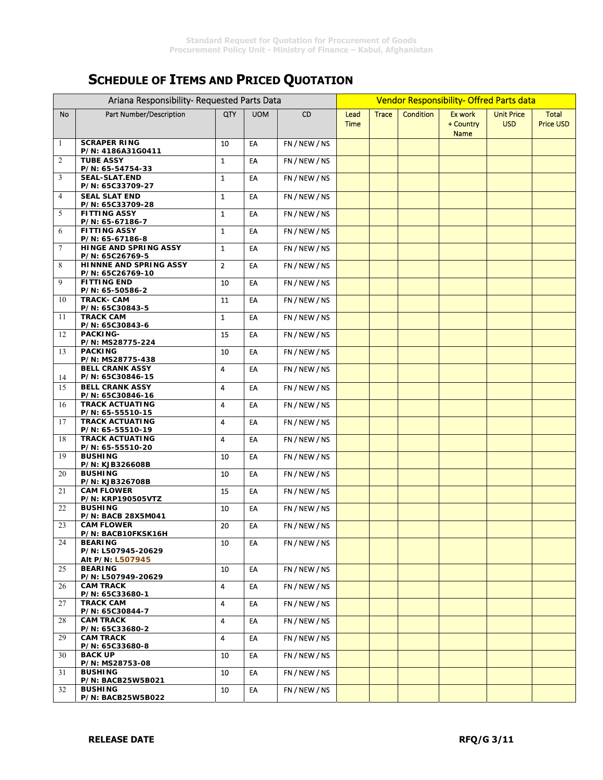# **SCHEDULE OF ITEMS AND PRICED QUOTATION**

|    | Ariana Responsibility- Requested Parts Data              |                |            |               | Vendor Responsibility- Offred Parts data |              |                  |                                     |                                 |                                  |
|----|----------------------------------------------------------|----------------|------------|---------------|------------------------------------------|--------------|------------------|-------------------------------------|---------------------------------|----------------------------------|
| No | Part Number/Description                                  | QTY            | <b>UOM</b> | <b>CD</b>     | Lead<br><b>Time</b>                      | <b>Trace</b> | <b>Condition</b> | Ex work<br>+ Country<br><b>Name</b> | <b>Unit Price</b><br><b>USD</b> | <b>Total</b><br><b>Price USD</b> |
| 1  | <b>SCRAPER RING</b><br>P/N: 4186A31G0411                 | 10             | EA         | FN/NEW/NS     |                                          |              |                  |                                     |                                 |                                  |
| 2  | <b>TUBE ASSY</b><br>P/N: 65-54754-33                     | $\mathbf{1}$   | EA         | FN / NEW / NS |                                          |              |                  |                                     |                                 |                                  |
| 3  | <b>SEAL-SLAT.END</b><br>P/N: 65C33709-27                 | $\mathbf{1}$   | EA         | FN/NEW/NS     |                                          |              |                  |                                     |                                 |                                  |
| 4  | <b>SEAL SLAT END</b><br>P/N: 65C33709-28                 | $\mathbf{1}$   | EA         | FN / NEW / NS |                                          |              |                  |                                     |                                 |                                  |
| 5  | <b>FITTING ASSY</b><br>P/N: 65-67186-7                   | $\mathbf{1}$   | EA         | FN / NEW / NS |                                          |              |                  |                                     |                                 |                                  |
| 6  | <b>FITTING ASSY</b><br>P/N: 65-67186-8                   | $\mathbf{1}$   | EA         | FN / NEW / NS |                                          |              |                  |                                     |                                 |                                  |
| 7  | HINGE AND SPRING ASSY<br>P/N: 65C26769-5                 | $\mathbf{1}$   | EA         | FN / NEW / NS |                                          |              |                  |                                     |                                 |                                  |
| 8  | HINNNE AND SPRING ASSY<br>P/N: 65C26769-10               | $\overline{2}$ | EA         | FN / NEW / NS |                                          |              |                  |                                     |                                 |                                  |
| 9  | <b>FITTING END</b><br>P/N: 65-50586-2                    | 10             | EA         | FN / NEW / NS |                                          |              |                  |                                     |                                 |                                  |
| 10 | <b>TRACK- CAM</b><br>P/N: 65C30843-5                     | 11             | EA         | FN / NEW / NS |                                          |              |                  |                                     |                                 |                                  |
| 11 | <b>TRACK CAM</b><br>P/N: 65C30843-6                      | $\mathbf{1}$   | EA         | FN / NEW / NS |                                          |              |                  |                                     |                                 |                                  |
| 12 | PACKING-<br>P/N: MS28775-224                             | 15             | EA         | FN / NEW / NS |                                          |              |                  |                                     |                                 |                                  |
| 13 | <b>PACKING</b><br>P/N: MS28775-438                       | 10             | EA         | FN / NEW / NS |                                          |              |                  |                                     |                                 |                                  |
| 14 | <b>BELL CRANK ASSY</b><br>P/N: 65C30846-15               | 4              | EA         | FN / NEW / NS |                                          |              |                  |                                     |                                 |                                  |
| 15 | <b>BELL CRANK ASSY</b><br>P/N: 65C30846-16               | $\overline{4}$ | EA         | FN / NEW / NS |                                          |              |                  |                                     |                                 |                                  |
| 16 | <b>TRACK ACTUATING</b><br>P/N: 65-55510-15               | 4              | EA         | FN / NEW / NS |                                          |              |                  |                                     |                                 |                                  |
| 17 | <b>TRACK ACTUATING</b><br>P/N: 65-55510-19               | 4              | EA         | FN / NEW / NS |                                          |              |                  |                                     |                                 |                                  |
| 18 | <b>TRACK ACTUATING</b><br>P/N: 65-55510-20               | 4              | EA         | FN / NEW / NS |                                          |              |                  |                                     |                                 |                                  |
| 19 | <b>BUSHING</b><br>P/N: KJB326608B                        | 10             | EA         | FN / NEW / NS |                                          |              |                  |                                     |                                 |                                  |
| 20 | <b>BUSHING</b><br>P/N: KJB326708B                        | 10             | EA         | FN / NEW / NS |                                          |              |                  |                                     |                                 |                                  |
| 21 | <b>CAM FLOWER</b><br>P/N: KRP190505VTZ                   | 15             | EA         | FN / NEW / NS |                                          |              |                  |                                     |                                 |                                  |
| 22 | <b>BUSHING</b><br>P/N: BACB 28X5M041                     | 10             | EA         | FN / NEW / NS |                                          |              |                  |                                     |                                 |                                  |
| 23 | <b>CAM FLOWER</b><br>P/N: BACB10FKSK16H                  | 20             | EA         | FN / NEW / NS |                                          |              |                  |                                     |                                 |                                  |
| 24 | <b>BEARING</b><br>P/N: L507945-20629                     | 10             | EA         | FN / NEW / NS |                                          |              |                  |                                     |                                 |                                  |
| 25 | Alt P/N: L507945<br><b>BEARING</b>                       | 10             | EA         | FN / NEW / NS |                                          |              |                  |                                     |                                 |                                  |
| 26 | P/N: L507949-20629<br><b>CAM TRACK</b>                   | 4              | EA         | FN / NEW / NS |                                          |              |                  |                                     |                                 |                                  |
| 27 | P/N: 65C33680-1<br><b>TRACK CAM</b>                      | $\overline{4}$ | EA         | FN / NEW / NS |                                          |              |                  |                                     |                                 |                                  |
| 28 | P/N: 65C30844-7<br><b>CAM TRACK</b>                      | 4              | EA         | FN / NEW / NS |                                          |              |                  |                                     |                                 |                                  |
| 29 | P/N: 65C33680-2<br><b>CAM TRACK</b>                      | 4              | EA         | FN / NEW / NS |                                          |              |                  |                                     |                                 |                                  |
| 30 | P/N: 65C33680-8<br><b>BACK UP</b>                        | 10             | EA         | FN / NEW / NS |                                          |              |                  |                                     |                                 |                                  |
| 31 | P/N: MS28753-08<br><b>BUSHING</b>                        | 10             | EA         | FN / NEW / NS |                                          |              |                  |                                     |                                 |                                  |
| 32 | P/N: BACB25W5B021<br><b>BUSHING</b><br>P/N: BACB25W5B022 | 10             | EA         | FN / NEW / NS |                                          |              |                  |                                     |                                 |                                  |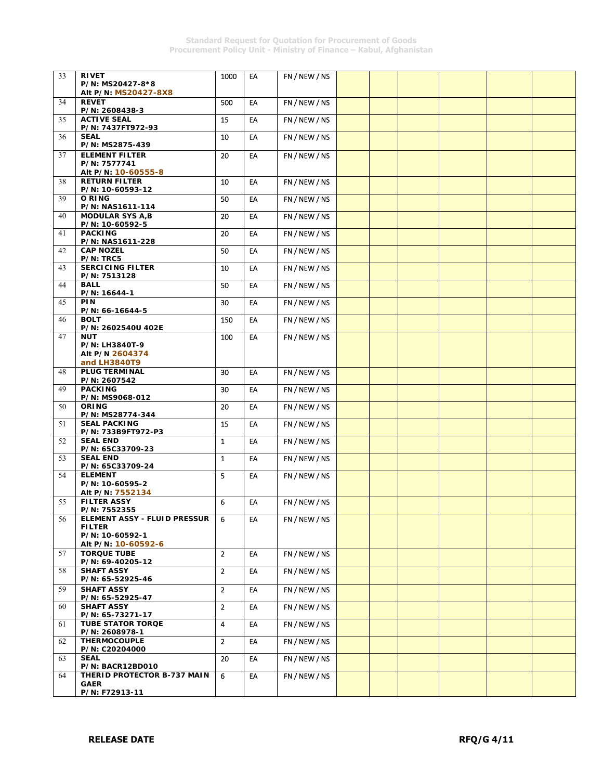| 33 | <b>RIVET</b>                               | 1000           | EA | FN / NEW / NS |  |  |  |
|----|--------------------------------------------|----------------|----|---------------|--|--|--|
|    | P/N: MS20427-8*8                           |                |    |               |  |  |  |
|    | Alt P/N: MS20427-8X8                       |                |    |               |  |  |  |
| 34 | <b>REVET</b>                               | 500            | EA | FN / NEW / NS |  |  |  |
|    | P/N: 2608438-3                             |                |    |               |  |  |  |
| 35 | <b>ACTIVE SEAL</b>                         | 15             | EA | FN / NEW / NS |  |  |  |
|    | P/N: 7437FT972-93                          |                |    |               |  |  |  |
| 36 | <b>SEAL</b>                                | 10             | EA | FN / NEW / NS |  |  |  |
|    | P/N: MS2875-439                            |                |    |               |  |  |  |
| 37 | <b>ELEMENT FILTER</b>                      | 20             | EA | FN / NEW / NS |  |  |  |
|    | P/N: 7577741                               |                |    |               |  |  |  |
|    | Alt P/N: 10-60555-8                        |                |    |               |  |  |  |
|    | <b>RETURN FILTER</b>                       |                | EA | FN/NEW/NS     |  |  |  |
| 38 | P/N: 10-60593-12                           | 10             |    |               |  |  |  |
|    | O RING                                     | 50             | EA | FN/NEW/NS     |  |  |  |
| 39 | P/N: NAS1611-114                           |                |    |               |  |  |  |
| 40 | <b>MODULAR SYS A,B</b>                     | 20             | EA | FN / NEW / NS |  |  |  |
|    | P/N: 10-60592-5                            |                |    |               |  |  |  |
| 41 | <b>PACKING</b>                             | 20             | EA | FN / NEW / NS |  |  |  |
|    | P/N: NAS1611-228                           |                |    |               |  |  |  |
| 42 | <b>CAP NOZEL</b>                           | 50             | EA | FN / NEW / NS |  |  |  |
|    | P/N: TRC5                                  |                |    |               |  |  |  |
| 43 | <b>SERCICING FILTER</b>                    | 10             | EA | FN/NEW/NS     |  |  |  |
|    | P/N: 7513128                               |                |    |               |  |  |  |
| 44 | <b>BALL</b>                                | 50             | EA | FN/NEW/NS     |  |  |  |
|    | P/N: 16644-1                               |                |    |               |  |  |  |
| 45 | PIN                                        | 30             | EA | FN / NEW / NS |  |  |  |
|    | P/N: 66-16644-5                            |                |    |               |  |  |  |
| 46 | <b>BOLT</b>                                | 150            | EA | FN / NEW / NS |  |  |  |
|    | P/N: 2602540U 402E                         |                |    |               |  |  |  |
| 47 | <b>NUT</b>                                 | 100            | EA | FN / NEW / NS |  |  |  |
|    | P/N: LH3840T-9                             |                |    |               |  |  |  |
|    | Alt P/N 2604374                            |                |    |               |  |  |  |
|    | and LH3840T9                               |                |    |               |  |  |  |
| 48 | <b>PLUG TERMINAL</b>                       | 30             | EA | FN / NEW / NS |  |  |  |
|    | P/N: 2607542                               |                |    |               |  |  |  |
| 49 | <b>PACKING</b>                             | 30             | EA | FN/NEW/NS     |  |  |  |
|    | P/N: MS9068-012                            |                |    |               |  |  |  |
| 50 | <b>ORING</b>                               | 20             | EA | FN / NEW / NS |  |  |  |
|    | P/N: MS28774-344                           |                |    |               |  |  |  |
| 51 | <b>SEAL PACKING</b>                        | 15             | EA | FN / NEW / NS |  |  |  |
|    | P/N: 733B9FT972-P3                         |                |    |               |  |  |  |
| 52 | <b>SEAL END</b>                            | $\mathbf{1}$   | EA | FN/NEW/NS     |  |  |  |
|    | P/N: 65C33709-23                           |                |    |               |  |  |  |
| 53 | <b>SEAL END</b>                            | $\mathbf{1}$   | EA | FN/NEW/NS     |  |  |  |
|    | P/N: 65C33709-24                           |                |    |               |  |  |  |
| 54 | <b>ELEMENT</b>                             | 5              | EA | FN / NEW / NS |  |  |  |
|    | P/N: 10-60595-2                            |                |    |               |  |  |  |
|    | Alt P/N: 7552134                           |                |    |               |  |  |  |
| 55 | <b>FILTER ASSY</b>                         | 6              | EA | FN / NEW / NS |  |  |  |
|    | P/N: 7552355                               |                |    |               |  |  |  |
| 56 | ELEMENT ASSY - FLUID PRESSUR               | 6              | EA | FN / NEW / NS |  |  |  |
|    | <b>FILTER</b>                              |                |    |               |  |  |  |
|    | P/N: 10-60592-1                            |                |    |               |  |  |  |
|    | Alt P/N: 10-60592-6                        |                |    |               |  |  |  |
| 57 | <b>TORQUE TUBE</b>                         | 2 <sup>1</sup> | EA | FN / NEW / NS |  |  |  |
|    | P/N: 69-40205-12                           |                |    |               |  |  |  |
| 58 | <b>SHAFT ASSY</b>                          | 2 <sup>1</sup> | EA | FN / NEW / NS |  |  |  |
|    | P/N: 65-52925-46                           |                |    |               |  |  |  |
| 59 | <b>SHAFT ASSY</b>                          | $\overline{2}$ | EA | FN/NEW/NS     |  |  |  |
|    | P/N: 65-52925-47                           |                |    |               |  |  |  |
| 60 |                                            | $2^{\circ}$    | EA | FN / NEW / NS |  |  |  |
|    |                                            |                |    |               |  |  |  |
|    | <b>SHAFT ASSY</b>                          |                |    |               |  |  |  |
|    | P/N: 65-73271-17                           |                |    |               |  |  |  |
| 61 | <b>TUBE STATOR TORQE</b>                   | 4              | EA | FN / NEW / NS |  |  |  |
|    | P/N: 2608978-1                             |                |    |               |  |  |  |
| 62 | <b>THERMOCOUPLE</b>                        | $\overline{2}$ | EA | FN / NEW / NS |  |  |  |
|    | P/N: C20204000                             |                |    |               |  |  |  |
| 63 | <b>SEAL</b>                                | 20             | EA | FN/NEW/NS     |  |  |  |
|    | P/N: BACR12BD010                           |                |    |               |  |  |  |
| 64 | THERID PROTECTOR B-737 MAIN<br><b>GAER</b> | 6              | EA | FN / NEW / NS |  |  |  |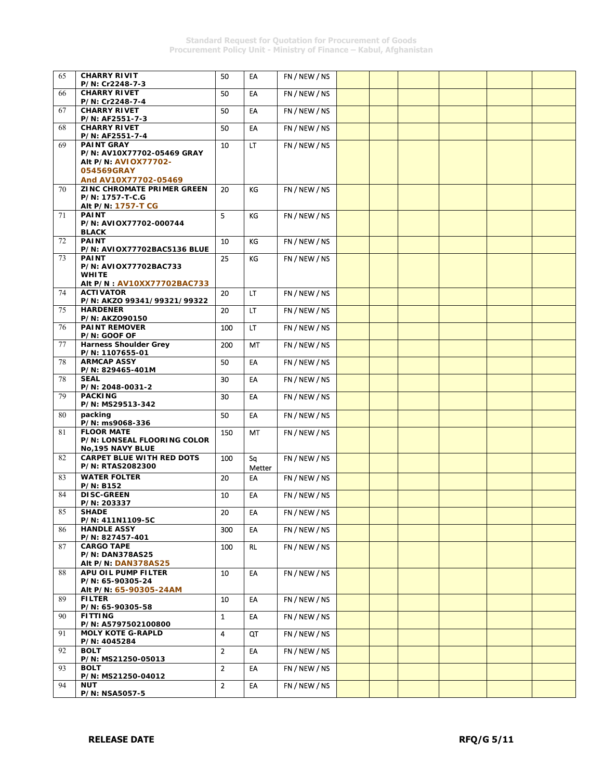| 65 | <b>CHARRY RIVIT</b>                                             | 50             | EA         | FN / NEW / NS |  |  |  |
|----|-----------------------------------------------------------------|----------------|------------|---------------|--|--|--|
| 66 | P/N: Cr2248-7-3<br><b>CHARRY RIVET</b>                          | 50             | EA         | FN / NEW / NS |  |  |  |
|    | P/N: Cr2248-7-4                                                 |                |            |               |  |  |  |
| 67 | <b>CHARRY RIVET</b><br>P/N: AF2551-7-3                          | 50             | EA         | FN / NEW / NS |  |  |  |
| 68 | <b>CHARRY RIVET</b><br>P/N: AF2551-7-4                          | 50             | EA         | FN / NEW / NS |  |  |  |
| 69 | <b>PAINT GRAY</b><br>P/N: AV10X77702-05469 GRAY                 | 10             | LT         | FN / NEW / NS |  |  |  |
|    | Alt P/N: AVIOX77702-                                            |                |            |               |  |  |  |
|    | 054569GRAY                                                      |                |            |               |  |  |  |
| 70 | And AV10X77702-05469<br>ZINC CHROMATE PRIMER GREEN              | 20             | KG         | FN / NEW / NS |  |  |  |
|    | P/N: 1757-T-C.G                                                 |                |            |               |  |  |  |
| 71 | Alt P/N: 1757-T CG<br><b>PAINT</b>                              | 5.             | KG         | FN/NEW/NS     |  |  |  |
|    | P/N: AVIOX77702-000744                                          |                |            |               |  |  |  |
| 72 | <b>BLACK</b><br><b>PAINT</b>                                    | 10             | KG         | FN / NEW / NS |  |  |  |
|    | P/N: AVIOX77702BAC5136 BLUE                                     |                |            |               |  |  |  |
| 73 | <b>PAINT</b><br>P/N: AVIOX77702BAC733                           | 25             | KG         | FN / NEW / NS |  |  |  |
|    | <b>WHITE</b>                                                    |                |            |               |  |  |  |
| 74 | Alt P/N: AV10XX77702BAC733<br><b>ACTIVATOR</b>                  | 20             | LT.        | FN / NEW / NS |  |  |  |
|    | P/N: AKZO 99341/99321/99322                                     |                |            |               |  |  |  |
| 75 | <b>HARDENER</b><br>P/N: AKZ090150                               | 20             | LT.        | FN / NEW / NS |  |  |  |
| 76 | <b>PAINT REMOVER</b>                                            | 100            | LT.        | FN / NEW / NS |  |  |  |
| 77 | P/N: GOOF OF<br><b>Harness Shoulder Grey</b><br>P/N: 1107655-01 | 200            | <b>MT</b>  | FN/NEW/NS     |  |  |  |
| 78 | <b>ARMCAP ASSY</b><br>P/N: 829465-401M                          | 50             | EA         | FN / NEW / NS |  |  |  |
| 78 | <b>SEAL</b><br>P/N: 2048-0031-2                                 | 30             | EA         | FN / NEW / NS |  |  |  |
| 79 | <b>PACKING</b><br>P/N: MS29513-342                              | 30             | EA         | FN / NEW / NS |  |  |  |
| 80 | packing<br>P/N: ms9068-336                                      | 50             | EA         | FN / NEW / NS |  |  |  |
| 81 | <b>FLOOR MATE</b>                                               | 150            | MT         | FN / NEW / NS |  |  |  |
|    | P/N: LONSEAL FLOORING COLOR<br>No, 195 NAVY BLUE                |                |            |               |  |  |  |
| 82 | <b>CARPET BLUE WITH RED DOTS</b>                                | 100            | Sq         | FN / NEW / NS |  |  |  |
|    | P/N: RTAS2082300<br><b>WATER FOLTER</b>                         |                | Metter     |               |  |  |  |
| 83 | <b>P/N: B152</b>                                                | 20             | EA         | FN / NEW / NS |  |  |  |
| 84 | <b>DISC-GREEN</b><br>P/N: 203337                                | 10             | EA         | FN / NEW / NS |  |  |  |
| 85 | <b>SHADE</b>                                                    | $20\,$         | ${\sf EA}$ | FN / NEW / NS |  |  |  |
| 86 | P/N: 411N1109-5C<br><b>HANDLE ASSY</b>                          | 300            | EA         | FN / NEW / NS |  |  |  |
|    | P/N: 827457-401                                                 |                |            |               |  |  |  |
| 87 | <b>CARGO TAPE</b><br><b>P/N: DAN378AS25</b>                     | 100            | <b>RL</b>  | FN/NEW/NS     |  |  |  |
|    | Alt P/N: DAN378AS25                                             |                |            |               |  |  |  |
| 88 | APU OIL PUMP FILTER<br>P/N: 65-90305-24                         | 10             | EA         | FN / NEW / NS |  |  |  |
| 89 | Alt P/N: 65-90305-24AM<br><b>FILTER</b>                         | 10             | EA         | FN/NEW/NS     |  |  |  |
| 90 | P/N: 65-90305-58<br><b>FITTING</b>                              | $\mathbf{1}$   | EA         | FN / NEW / NS |  |  |  |
|    | P/N: A5797502100800                                             |                |            |               |  |  |  |
| 91 | <b>MOLY KOTE G-RAPLD</b><br>P/N: 4045284                        | 4              | QT         | FN / NEW / NS |  |  |  |
| 92 | <b>BOLT</b>                                                     | $\overline{2}$ | EA         | FN / NEW / NS |  |  |  |
| 93 | P/N: MS21250-05013<br><b>BOLT</b>                               | $\overline{2}$ | EA         | FN/NEW/NS     |  |  |  |
|    | P/N: MS21250-04012                                              |                |            |               |  |  |  |
| 94 | NUT<br>P/N: NSA5057-5                                           | $\overline{2}$ | EA         | FN / NEW / NS |  |  |  |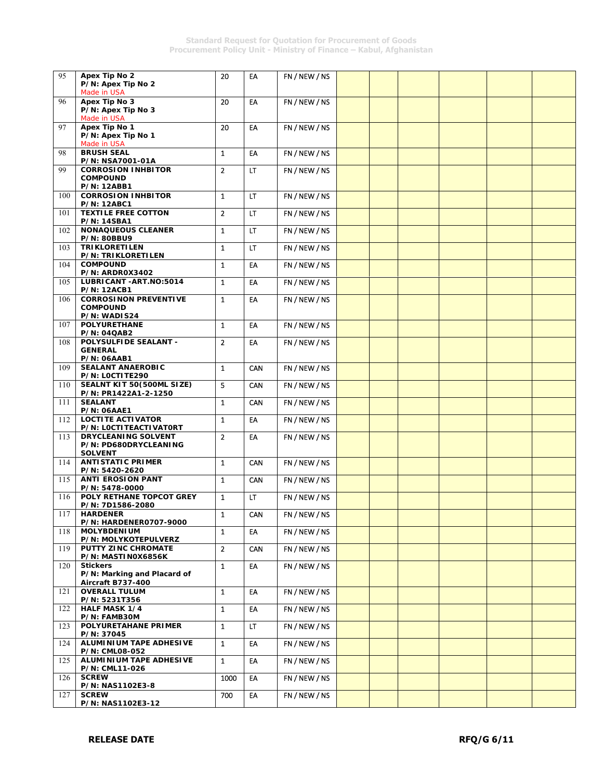| 95  | Apex Tip No 2                                                         | 20             | EA         | FN / NEW / NS |  |  |  |
|-----|-----------------------------------------------------------------------|----------------|------------|---------------|--|--|--|
|     | P/N: Apex Tip No 2<br>Made in USA                                     |                |            |               |  |  |  |
| 96  | Apex Tip No 3<br>P/N: Apex Tip No 3<br>Made in USA                    | 20             | EA         | FN / NEW / NS |  |  |  |
| 97  | Apex Tip No 1<br>P/N: Apex Tip No 1<br>Made in USA                    | 20             | EA         | FN / NEW / NS |  |  |  |
| 98  | <b>BRUSH SEAL</b><br>P/N: NSA7001-01A                                 | $\mathbf{1}$   | EA         | FN/NEW/NS     |  |  |  |
| 99  | <b>CORROSION INHBITOR</b><br><b>COMPOUND</b><br><b>P/N: 12ABB1</b>    | $\overline{2}$ | LT         | FN / NEW / NS |  |  |  |
| 100 | <b>CORROSION INHBITOR</b><br><b>P/N: 12ABC1</b>                       | $\mathbf{1}$   | LT.        | FN / NEW / NS |  |  |  |
| 101 | <b>TEXTILE FREE COTTON</b><br><b>P/N: 14SBA1</b>                      | $\overline{2}$ | LT         | FN / NEW / NS |  |  |  |
| 102 | <b>NONAQUEOUS CLEANER</b><br><b>P/N: 80BBU9</b>                       | $\mathbf{1}$   | LT.        | FN / NEW / NS |  |  |  |
| 103 | <b>TRIKLORETILEN</b><br><b>P/N: TRIKLORETILEN</b>                     | $\mathbf{1}$   | LT.        | FN / NEW / NS |  |  |  |
| 104 | <b>COMPOUND</b><br>P/N: ARDROX3402                                    | $\mathbf{1}$   | EA         | FN / NEW / NS |  |  |  |
| 105 | LUBRICANT-ART.NO:5014<br><b>P/N: 12ACB1</b>                           | $\mathbf{1}$   | EA         | FN / NEW / NS |  |  |  |
| 106 | <b>CORROSINON PREVENTIVE</b><br><b>COMPOUND</b><br>P/N: WADIS24       | $\mathbf{1}$   | EA         | FN / NEW / NS |  |  |  |
| 107 | <b>POLYURETHANE</b><br><b>P/N: 04QAB2</b>                             | $\mathbf{1}$   | EA         | FN / NEW / NS |  |  |  |
| 108 | POLYSULFIDE SEALANT -<br><b>GENERAL</b><br><b>P/N: 06AAB1</b>         | $\overline{2}$ | EA         | FN / NEW / NS |  |  |  |
| 109 | <b>SEALANT ANAEROBIC</b><br>P/N: LOCTITE290                           | $\mathbf{1}$   | CAN        | FN/NEW/NS     |  |  |  |
| 110 | SEALNT KIT 50(500ML SIZE)<br>P/N: PR1422A1-2-1250                     | 5              | CAN        | FN / NEW / NS |  |  |  |
| 111 | <b>SEALANT</b><br><b>P/N: 06AAE1</b>                                  | $\mathbf{1}$   | CAN        | FN / NEW / NS |  |  |  |
| 112 | <b>LOCTITE ACTIVATOR</b><br>P/N: LOCTITEACTIVATORT                    | $\mathbf{1}$   | EA         | FN/NEW/NS     |  |  |  |
| 113 | <b>DRYCLEANING SOLVENT</b><br>P/N: PD680DRYCLEANING<br><b>SOLVENT</b> | $\overline{2}$ | EA         | FN / NEW / NS |  |  |  |
| 114 | <b>ANTISTATIC PRIMER</b><br>P/N: 5420-2620                            | $\mathbf{1}$   | CAN        | FN/NEW/NS     |  |  |  |
| 115 | <b>ANTI EROSION PANT</b><br>P/N: 5478-0000                            | $\mathbf{1}$   | CAN        | FN / NEW / NS |  |  |  |
| 116 | POLY RETHANE TOPCOT GREY<br>P/N: 7D1586-2080                          | $\mathbf{1}$   | LT         | FN / NEW / NS |  |  |  |
| 117 | <b>HARDENER</b><br><b>P/N: HARDENER0707-9000</b>                      | 1              | CAN        | FN / NEW / NS |  |  |  |
| 118 | <b>MOLYBDENIUM</b><br>P/N: MOLYKOTEPULVERZ                            | $\mathbf{1}$   | EA         | FN/NEW/NS     |  |  |  |
| 119 | PUTTY ZINC CHROMATE<br>P/N: MASTINOX6856K                             | $\overline{2}$ | <b>CAN</b> | FN / NEW / NS |  |  |  |
| 120 | <b>Stickers</b><br>P/N: Marking and Placard of<br>Aircraft B737-400   | $\mathbf{1}$   | EA         | FN / NEW / NS |  |  |  |
| 121 | <b>OVERALL TULUM</b><br>P/N: 5231T356                                 | $\mathbf{1}$   | EA         | FN / NEW / NS |  |  |  |
| 122 | <b>HALF MASK 1/4</b><br>P/N: FAMB30M                                  | $\mathbf{1}$   | EA         | FN / NEW / NS |  |  |  |
| 123 | POLYURETAHANE PRIMER<br>P/N: 37045                                    | $\mathbf{1}$   | LT.        | FN / NEW / NS |  |  |  |
| 124 | ALUMINIUM TAPE ADHESIVE<br><b>P/N: CML08-052</b>                      | $\mathbf{1}$   | EA         | FN / NEW / NS |  |  |  |
| 125 | ALUMINIUM TAPE ADHESIVE<br>P/N: CML11-026                             | $\mathbf{1}$   | EA         | FN / NEW / NS |  |  |  |
| 126 | <b>SCREW</b><br>P/N: NAS1102E3-8                                      | 1000           | EA         | FN / NEW / NS |  |  |  |
| 127 | <b>SCREW</b><br>P/N: NAS1102E3-12                                     | 700            | EA         | FN/NEW/NS     |  |  |  |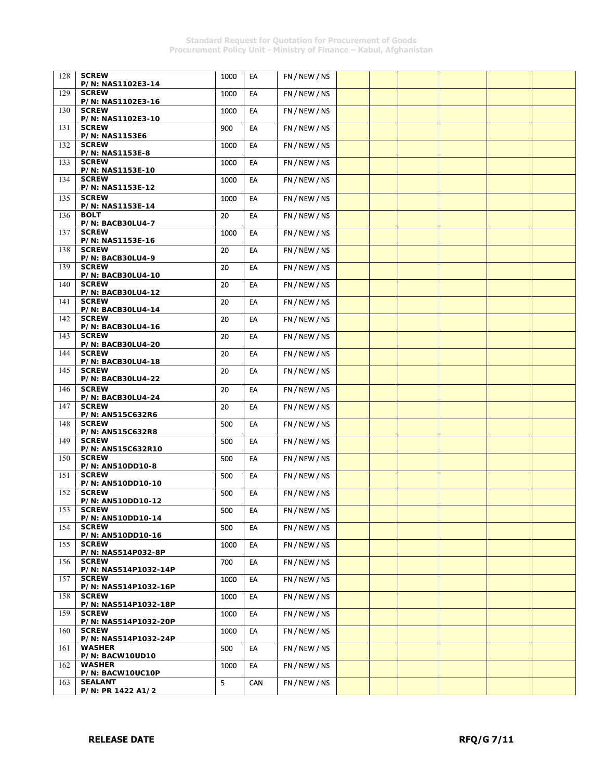| 128 | <b>SCREW</b>                             | 1000 | EA         | FN / NEW / NS |  |  |  |
|-----|------------------------------------------|------|------------|---------------|--|--|--|
| 129 | P/N: NAS1102E3-14<br><b>SCREW</b>        | 1000 | EA         | FN / NEW / NS |  |  |  |
|     | P/N: NAS1102E3-16<br><b>SCREW</b>        |      | EA         |               |  |  |  |
| 130 | P/N: NAS1102E3-10                        | 1000 |            | FN / NEW / NS |  |  |  |
| 131 | <b>SCREW</b><br><b>P/N: NAS1153E6</b>    | 900  | EA         | FN / NEW / NS |  |  |  |
| 132 | <b>SCREW</b>                             | 1000 | EA         | FN / NEW / NS |  |  |  |
| 133 | P/N: NAS1153E-8<br><b>SCREW</b>          | 1000 | EA         | FN / NEW / NS |  |  |  |
| 134 | P/N: NAS1153E-10<br><b>SCREW</b>         | 1000 | EA         | FN / NEW / NS |  |  |  |
|     | P/N: NAS1153E-12                         |      |            |               |  |  |  |
| 135 | <b>SCREW</b><br>P/N: NAS1153E-14         | 1000 | EA         | FN / NEW / NS |  |  |  |
| 136 | <b>BOLT</b><br><b>P/N: BACB30LU4-7</b>   | 20   | EA         | FN / NEW / NS |  |  |  |
| 137 | <b>SCREW</b>                             | 1000 | EA         | FN / NEW / NS |  |  |  |
| 138 | P/N: NAS1153E-16<br><b>SCREW</b>         | 20   | EA         | FN / NEW / NS |  |  |  |
| 139 | P/N: BACB30LU4-9<br><b>SCREW</b>         | 20   | EA         | FN / NEW / NS |  |  |  |
| 140 | <b>P/N: BACB30LU4-10</b><br><b>SCREW</b> | 20   | EA         | FN / NEW / NS |  |  |  |
|     | <b>P/N: BACB30LU4-12</b>                 |      |            |               |  |  |  |
| 141 | <b>SCREW</b><br><b>P/N: BACB30LU4-14</b> | 20   | EA         | FN / NEW / NS |  |  |  |
| 142 | <b>SCREW</b><br><b>P/N: BACB30LU4-16</b> | 20   | EA         | FN / NEW / NS |  |  |  |
| 143 | <b>SCREW</b>                             | 20   | EA         | FN / NEW / NS |  |  |  |
| 144 | <b>P/N: BACB30LU4-20</b><br><b>SCREW</b> | 20   | EA         | FN / NEW / NS |  |  |  |
| 145 | <b>P/N: BACB30LU4-18</b><br><b>SCREW</b> | 20   | EA         | FN / NEW / NS |  |  |  |
|     | <b>P/N: BACB30LU4-22</b><br><b>SCREW</b> |      |            |               |  |  |  |
| 146 | <b>P/N: BACB30LU4-24</b>                 | 20   | EA         | FN/NEW/NS     |  |  |  |
| 147 | <b>SCREW</b><br>P/N: AN515C632R6         | 20   | EA         | FN / NEW / NS |  |  |  |
| 148 | <b>SCREW</b><br>P/N: AN515C632R8         | 500  | EA         | FN / NEW / NS |  |  |  |
| 149 | <b>SCREW</b><br>P/N: AN515C632R10        | 500  | EA         | FN / NEW / NS |  |  |  |
| 150 | <b>SCREW</b>                             | 500  | EA         | FN / NEW / NS |  |  |  |
| 151 | P/N: AN510DD10-8<br><b>SCREW</b>         | 500  | EA         | FN / NEW / NS |  |  |  |
| 152 | P/N: AN510DD10-10<br><b>SCREW</b>        | 500  | EA         | FN / NEW / NS |  |  |  |
| 153 | P/N: AN510DD10-12<br><b>SCREW</b>        |      |            |               |  |  |  |
|     | P/N: AN510DD10-14                        | 500  | ${\sf EA}$ | FN / NEW / NS |  |  |  |
| 154 | <b>SCREW</b><br>P/N: AN510DD10-16        | 500  | EA         | FN / NEW / NS |  |  |  |
| 155 | <b>SCREW</b><br>P/N: NAS514P032-8P       | 1000 | EA         | FN / NEW / NS |  |  |  |
| 156 | <b>SCREW</b><br>P/N: NAS514P1032-14P     | 700  | EA         | FN/NEW/NS     |  |  |  |
| 157 | <b>SCREW</b>                             | 1000 | EA         | FN / NEW / NS |  |  |  |
| 158 | P/N: NAS514P1032-16P<br><b>SCREW</b>     | 1000 | EA         | FN / NEW / NS |  |  |  |
| 159 | P/N: NAS514P1032-18P<br><b>SCREW</b>     | 1000 | EA         | FN / NEW / NS |  |  |  |
|     | P/N: NAS514P1032-20P<br><b>SCREW</b>     |      |            |               |  |  |  |
| 160 | P/N: NAS514P1032-24P                     | 1000 | EA         | FN / NEW / NS |  |  |  |
| 161 | <b>WASHER</b><br>P/N: BACW10UD10         | 500  | EA         | FN / NEW / NS |  |  |  |
| 162 | <b>WASHER</b><br>P/N: BACW10UC10P        | 1000 | EA         | FN / NEW / NS |  |  |  |
| 163 | <b>SEALANT</b>                           | 5    | CAN        | FN/NEW/NS     |  |  |  |
|     | P/N: PR 1422 A1/2                        |      |            |               |  |  |  |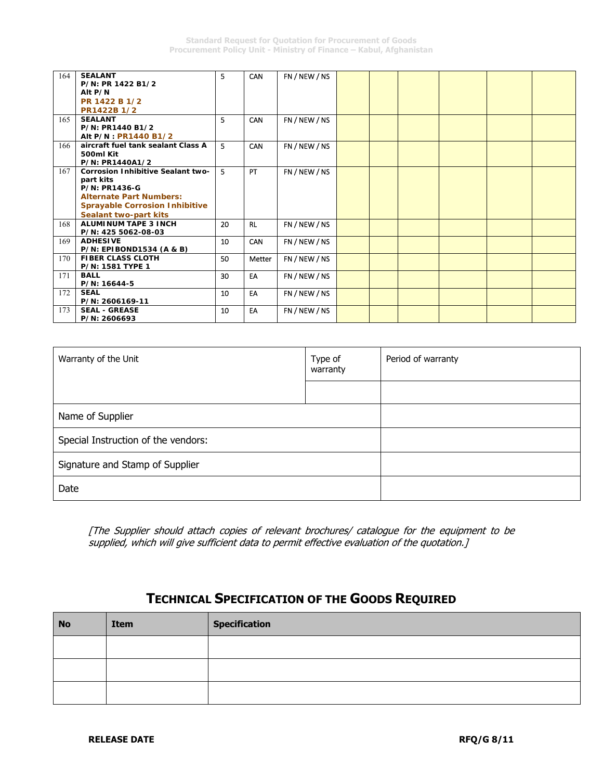| 164 | <b>SEALANT</b><br>P/N: PR 1422 B1/2      | 5  | <b>CAN</b> | FN / NEW / NS |  |  |  |
|-----|------------------------------------------|----|------------|---------------|--|--|--|
|     | Alt P/N                                  |    |            |               |  |  |  |
|     | PR 1422 B 1/2                            |    |            |               |  |  |  |
|     | PR1422B 1/2                              |    |            |               |  |  |  |
| 165 | <b>SEALANT</b>                           | 5  | <b>CAN</b> | FN / NEW / NS |  |  |  |
|     | P/N: PR1440 B1/2                         |    |            |               |  |  |  |
|     | Alt P/N : PR1440 B1/2                    |    |            |               |  |  |  |
| 166 | aircraft fuel tank sealant Class A       | 5  | CAN        | FN / NEW / NS |  |  |  |
|     | 500ml Kit                                |    |            |               |  |  |  |
|     | P/N: PR1440A1/2                          |    |            |               |  |  |  |
| 167 | <b>Corrosion Inhibitive Sealant two-</b> | 5  | PT         | FN / NEW / NS |  |  |  |
|     | part kits                                |    |            |               |  |  |  |
|     | <b>P/N: PR1436-G</b>                     |    |            |               |  |  |  |
|     | <b>Alternate Part Numbers:</b>           |    |            |               |  |  |  |
|     | <b>Sprayable Corrosion Inhibitive</b>    |    |            |               |  |  |  |
|     | Sealant two-part kits                    |    |            |               |  |  |  |
| 168 | <b>ALUMINUM TAPE 3 INCH</b>              | 20 | <b>RL</b>  | FN / NEW / NS |  |  |  |
|     | P/N: 425 5062-08-03                      |    |            |               |  |  |  |
| 169 | <b>ADHESIVE</b>                          | 10 | CAN        | FN / NEW / NS |  |  |  |
|     | P/N: EPIBOND1534 (A & B)                 |    |            |               |  |  |  |
| 170 | <b>FIBER CLASS CLOTH</b>                 | 50 | Metter     | FN / NEW / NS |  |  |  |
|     | P/N: 1581 TYPE 1                         |    |            |               |  |  |  |
| 171 | <b>BALL</b>                              | 30 | EA         | FN / NEW / NS |  |  |  |
|     | P/N: 16644-5                             |    |            |               |  |  |  |
| 172 | <b>SEAL</b>                              | 10 | EA         | FN / NEW / NS |  |  |  |
|     | P/N: 2606169-11                          |    |            |               |  |  |  |
| 173 | <b>SEAL - GREASE</b>                     | 10 | EA         | FN / NEW / NS |  |  |  |
|     | P/N: 2606693                             |    |            |               |  |  |  |

| Warranty of the Unit                | Type of<br>warranty | Period of warranty |
|-------------------------------------|---------------------|--------------------|
|                                     |                     |                    |
| Name of Supplier                    |                     |                    |
| Special Instruction of the vendors: |                     |                    |
| Signature and Stamp of Supplier     |                     |                    |
| Date                                |                     |                    |

[The Supplier should attach copies of relevant brochures/ catalogue for the equipment to be supplied, which will give sufficient data to permit effective evaluation of the quotation.]

# **TECHNICAL SPECIFICATION OF THE GOODS REQUIRED**

| <b>No</b> | Item | <b>Specification</b> |
|-----------|------|----------------------|
|           |      |                      |
|           |      |                      |
|           |      |                      |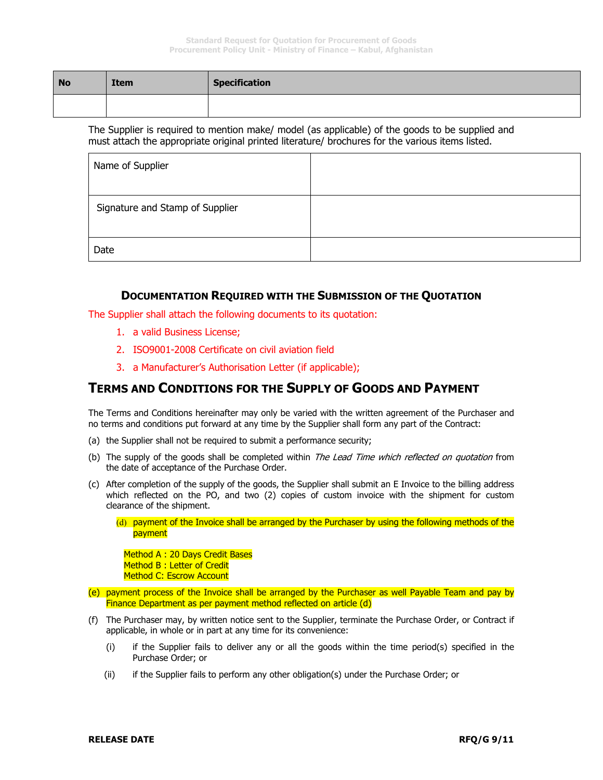| <b>No</b> | <b>Item</b> | <b>Specification</b> |
|-----------|-------------|----------------------|
|           |             |                      |

The Supplier is required to mention make/ model (as applicable) of the goods to be supplied and must attach the appropriate original printed literature/ brochures for the various items listed.

| Name of Supplier                |  |
|---------------------------------|--|
| Signature and Stamp of Supplier |  |
| Date                            |  |

### **DOCUMENTATION REQUIRED WITH THE SUBMISSION OF THE QUOTATION**

The Supplier shall attach the following documents to its quotation:

- 1. a valid Business License;
- 2. ISO9001-2008 Certificate on civil aviation field
- 3. a Manufacturer's Authorisation Letter (if applicable);

## **TERMS AND CONDITIONS FOR THE SUPPLY OF GOODS AND PAYMENT**

The Terms and Conditions hereinafter may only be varied with the written agreement of the Purchaser and no terms and conditions put forward at any time by the Supplier shall form any part of the Contract:

- (a) the Supplier shall not be required to submit a performance security;
- (b) The supply of the goods shall be completed within *The Lead Time which reflected on quotation* from the date of acceptance of the Purchase Order.
- (c) After completion of the supply of the goods, the Supplier shall submit an E Invoice to the billing address which reflected on the PO, and two (2) copies of custom invoice with the shipment for custom clearance of the shipment.
	- (d) payment of the Invoice shall be arranged by the Purchaser by using the following methods of the payment

Method A: 20 Days Credit Bases Method B : Letter of Credit Method C: Escrow Account

- (e) payment process of the Invoice shall be arranged by the Purchaser as well Payable Team and pay by Finance Department as per payment method reflected on article (d)
- (f) The Purchaser may, by written notice sent to the Supplier, terminate the Purchase Order, or Contract if applicable, in whole or in part at any time for its convenience:
	- (i) if the Supplier fails to deliver any or all the goods within the time period(s) specified in the Purchase Order; or
	- (ii) if the Supplier fails to perform any other obligation(s) under the Purchase Order; or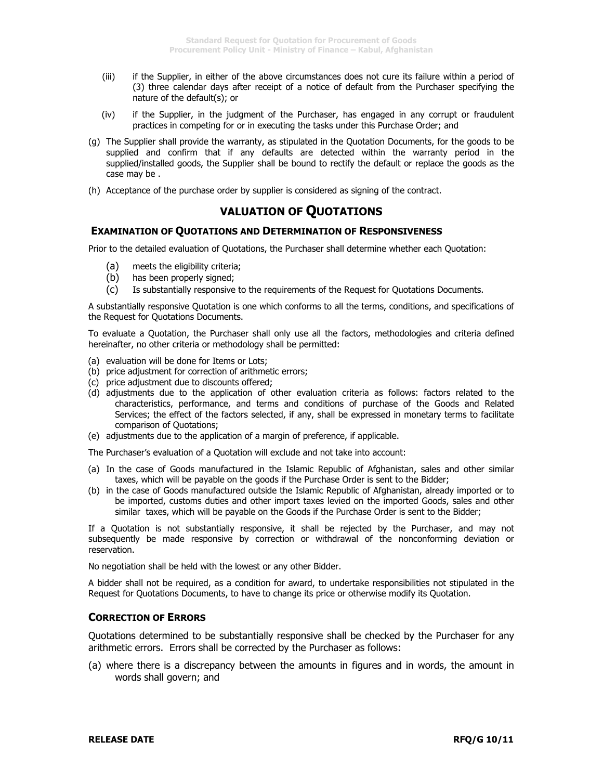- (iii) if the Supplier, in either of the above circumstances does not cure its failure within a period of (3) three calendar days after receipt of a notice of default from the Purchaser specifying the nature of the default(s); or
- (iv) if the Supplier, in the judgment of the Purchaser, has engaged in any corrupt or fraudulent practices in competing for or in executing the tasks under this Purchase Order; and
- (g) The Supplier shall provide the warranty, as stipulated in the Quotation Documents, for the goods to be supplied and confirm that if any defaults are detected within the warranty period in the supplied/installed goods, the Supplier shall be bound to rectify the default or replace the goods as the case may be .
- (h) Acceptance of the purchase order by supplier is considered as signing of the contract.

## **VALUATION OF QUOTATIONS**

#### **EXAMINATION OF QUOTATIONS AND DETERMINATION OF RESPONSIVENESS**

Prior to the detailed evaluation of Quotations, the Purchaser shall determine whether each Quotation:

- (a) meets the eligibility criteria;
- (b) has been properly signed;
- (c) Is substantially responsive to the requirements of the Request for Quotations Documents.

A substantially responsive Quotation is one which conforms to all the terms, conditions, and specifications of the Request for Quotations Documents.

To evaluate a Quotation, the Purchaser shall only use all the factors, methodologies and criteria defined hereinafter, no other criteria or methodology shall be permitted:

- (a) evaluation will be done for Items or Lots;
- (b) price adjustment for correction of arithmetic errors;
- (c) price adjustment due to discounts offered;
- (d) adjustments due to the application of other evaluation criteria as follows: factors related to the characteristics, performance, and terms and conditions of purchase of the Goods and Related Services; the effect of the factors selected, if any, shall be expressed in monetary terms to facilitate comparison of Quotations;
- (e) adjustments due to the application of a margin of preference, if applicable.
- The Purchaser's evaluation of a Quotation will exclude and not take into account:
- (a) In the case of Goods manufactured in the Islamic Republic of Afghanistan, sales and other similar taxes, which will be payable on the goods if the Purchase Order is sent to the Bidder;
- (b) in the case of Goods manufactured outside the Islamic Republic of Afghanistan, already imported or to be imported, customs duties and other import taxes levied on the imported Goods, sales and other similar taxes, which will be payable on the Goods if the Purchase Order is sent to the Bidder;

If a Quotation is not substantially responsive, it shall be rejected by the Purchaser, and may not subsequently be made responsive by correction or withdrawal of the nonconforming deviation or reservation.

No negotiation shall be held with the lowest or any other Bidder.

A bidder shall not be required, as a condition for award, to undertake responsibilities not stipulated in the Request for Quotations Documents, to have to change its price or otherwise modify its Quotation.

#### **CORRECTION OF ERRORS**

Quotations determined to be substantially responsive shall be checked by the Purchaser for any arithmetic errors. Errors shall be corrected by the Purchaser as follows:

(a) where there is a discrepancy between the amounts in figures and in words, the amount in words shall govern; and